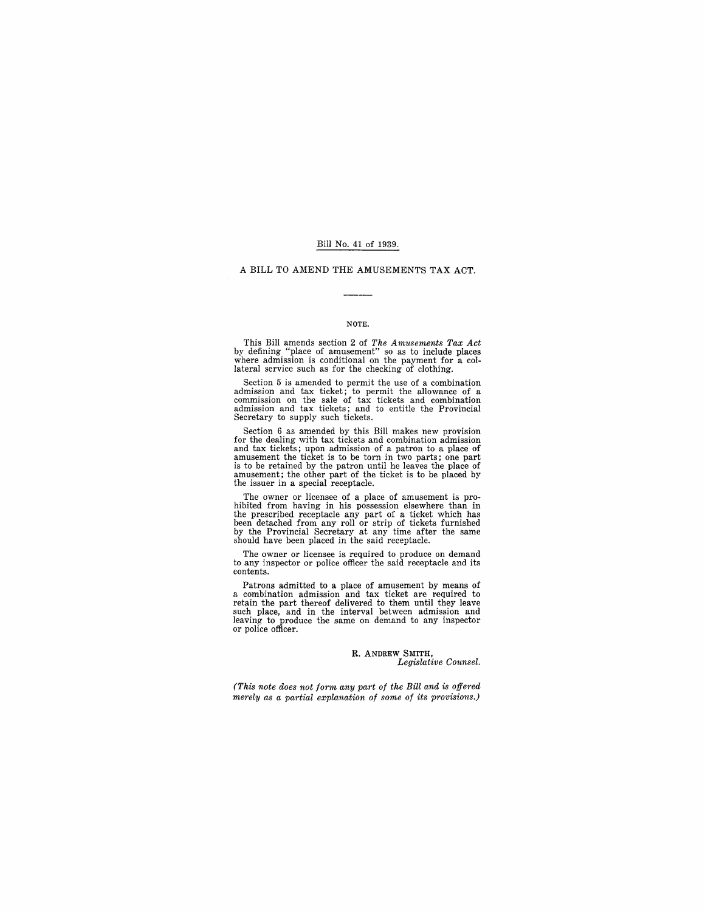#### Bill No. 41 of 1939.

#### A BILL TO AMEND THE AMUSEMENTS TAX ACT.

#### NOTE.

This Bill amends section 2 of The Amusements Tax Act<br>by defining "place of amusement" so as to include places<br>where admission is conditional on the payment for a col-<br>lateral service such as for the checking of clothing.

Section 5 is amended to permit the use of a combination admission and tax ticket; to permit the allowance of a commission on the sale of tax tickets and combination admission and tax tickets; and to entitle the Provincial Secretary to supply such tickets.

Section 6 as amended by this Bill makes new provision for the dealing with tax tickets and combination admission and tax tickets; upon admission of a patron to a place of amusement the ticket is to be torn in two parts; one part is to be retained by the patron until he leaves the place of amusement; the other part of the ticket is to be placed by the issuer in a special receptacle.

The owner or licensee of a place of amusement is pro-<br>hibited from having in his possession elsewhere than in<br>the prescribed receptacle any part of a ticket which has<br>been detached from any roll or strip of tickets furnish

The owner or licensee is required to produce on demand to any inspector or police officer the said receptacle and its contents.

Patrons admitted to a place of amusement by means of a combination admission and tax ticket are required to retain the part thereof delivered to them until they leave such place, and in the interval between admission and l

#### R. ANDREW SMITH, *Legislative Counsel.*

*(This note does not form any part of the Bill and is offered merely as a partial explanation of some of its provisions.)*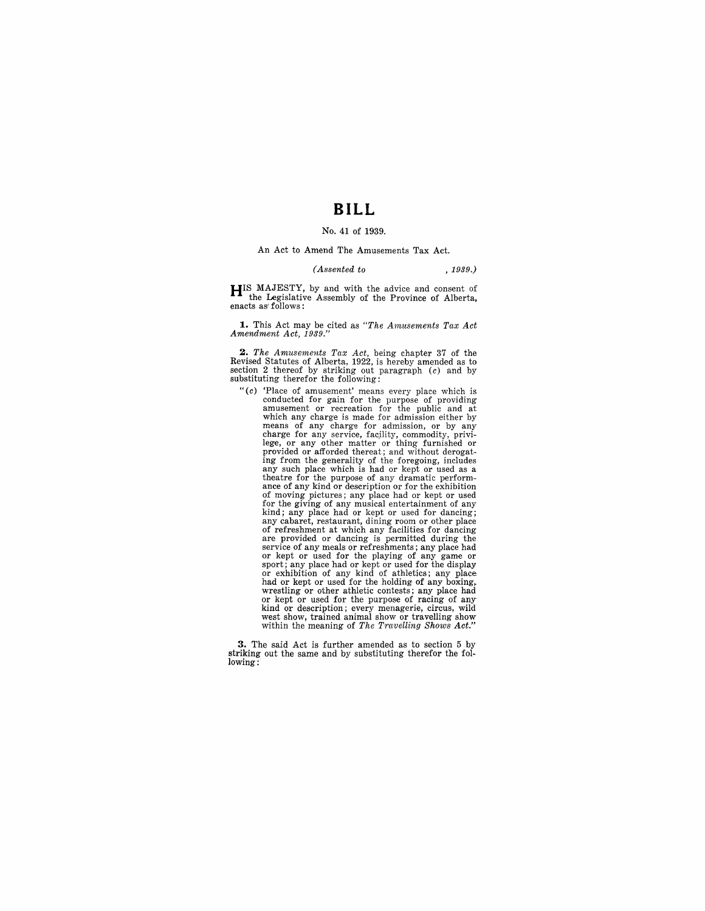## **BILL**

#### No. 41 of 1939.

#### An Act to Amend The Amusements Tax Act.

#### *(Assented to* , 1939.)

**HIS** MAJESTY, by and with the advice and consent of the Legislative Assembly of the Province of Alberta, enacts as' follows:

1. This Act may be cited as "The Amusements Tax Act *Amendment Act, 1939."* 

**2.** *The Amusements Tax Act*, being chapter 37 of the Revised Statutes of Alberta, 1922, is hereby amended as to section 2 thereof by striking out paragraph (c) and by substituting therefor the following:

"(c) 'Place of amusement' means every place which is conducted for gain for the purpose of providing amusement or recreation for the public and at which any charge is made for admission either by<br>means of any charge for admission, or by any<br>charge for any service, facility, commodity, privi-<br>lege, or any other matter or thing furnished or<br>provided or afforded thereat of moving pictures; any place had or kept or used for the giving of any musical entertainment of any<br>kind; any place had or kept or used for dancing;<br>any cabaret, restaurant, dining room or other place<br>of refreshment at which any facilities for dancing<br>are provided or dan service of any meals or refreshments; any place had or kept or used for the playing of any game or sport; any place had or kept or used for the display or exhibition of any kind of athletics; any place or exhibition of any kind of athletics; any place had or kept or used for the holding of any boxing, was the word at the model of the model of the purpose of the purpose of racing of any or kept or used for the purpose of racing of any kind or description; every menagerie, circus, wild west show, trained animal show or travelling show within the meaning of *The Travelling Shows Act."* 

**3.** The said Act is further amended as to section 5 by striking out the same and by substituting therefor the following: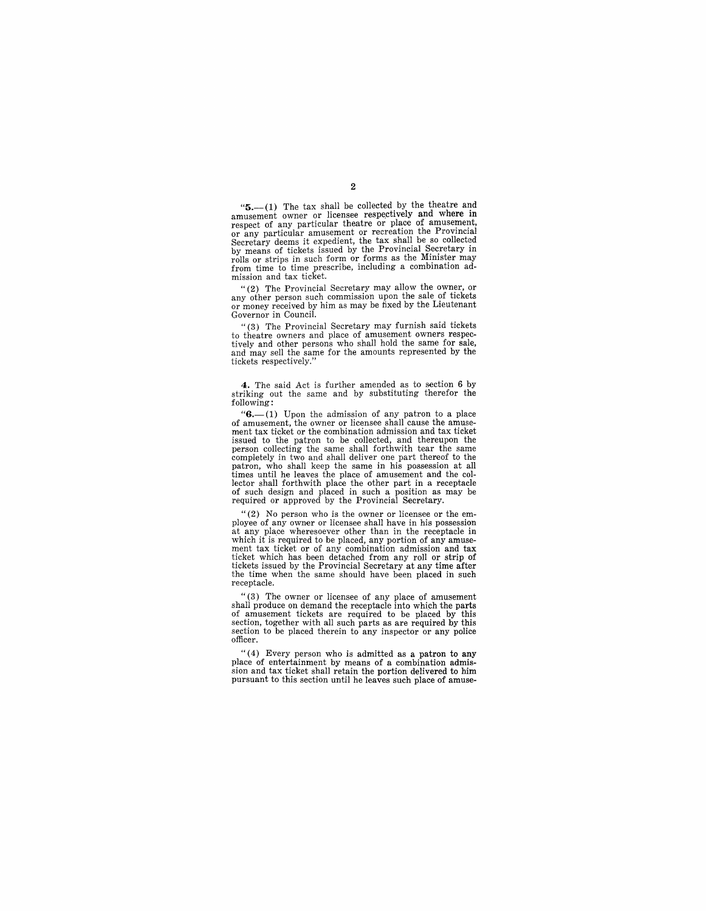" $5$ .--(1) The tax shall be collected by the theatre and amusement owner or licensee respectively and where in respect of any particular theatre or place of amusement, or any particular amusement or recreation the Provincial Secretary deems it expedient, the tax shall be so collected by means of tickets issued by the Provincial Secretary in rolls or strips in such form or forms as the Mi from time to time prescribe, including a combination ad-

mission and tax ticket.<br>
"(2) The Provincial Secretary may allow the owner, or any other person such commission upon the sale of tickets or money received by him as may be fixed by the Lieutenant Governor in Council.

"(3) The Provincial Secretary may furnish said tickets to theatre owners and place of amusement owners respectively and other persons who shall hold the same for sale, and may sell the same for the amounts represented by the tickets respectively."

**4.** The said Act is further amended as to section 6 by striking out the same and by substituting therefor the following:

" $6.$ -(1) Upon the admission of any patron to a place of amusement, the owner or licensee shall cause the amuseof amuseliness, the combination admission and tax ticket ment tax ticket or the combination admission and tax ticket issued to the patron to be collected, and thereupon the person collecting the same shall forthwith tear the same completely in two and shall deliver one part thereof to the patron, who shall keep the same in his possession at all times until he leaves the place of amusement and the collector shall forthwith place the other part in a receptacle of such design and placed in such a position as may be required or approved by the Provincial Secretary.

 $"$ (2) No person who is the owner or licensee or the em-<br>ployee of any owner or licensee shall have in his possession at any place wheresoever other than in the receptacle in ment tax ticket or of any combination admission and tax ticket which has been detached from any roll or strip of tickets issued by the Provincial Secretary at any time after the time when the same should have been placed in such receptacle.

"(3) The owner or licensee of any place of amusement shall produce on demand the receptacle into which the parts of amusement tickets are required to be placed by this section, together with all such parts as are required section to be placed therein to any inspector or any police officer.

"(4) Every person who is admitted as a patron to any place of entertainment by means of a combination admis-sion and tax ticket shall retain the portion delivered to him pursuant to this section until he leaves such place of amuse-

2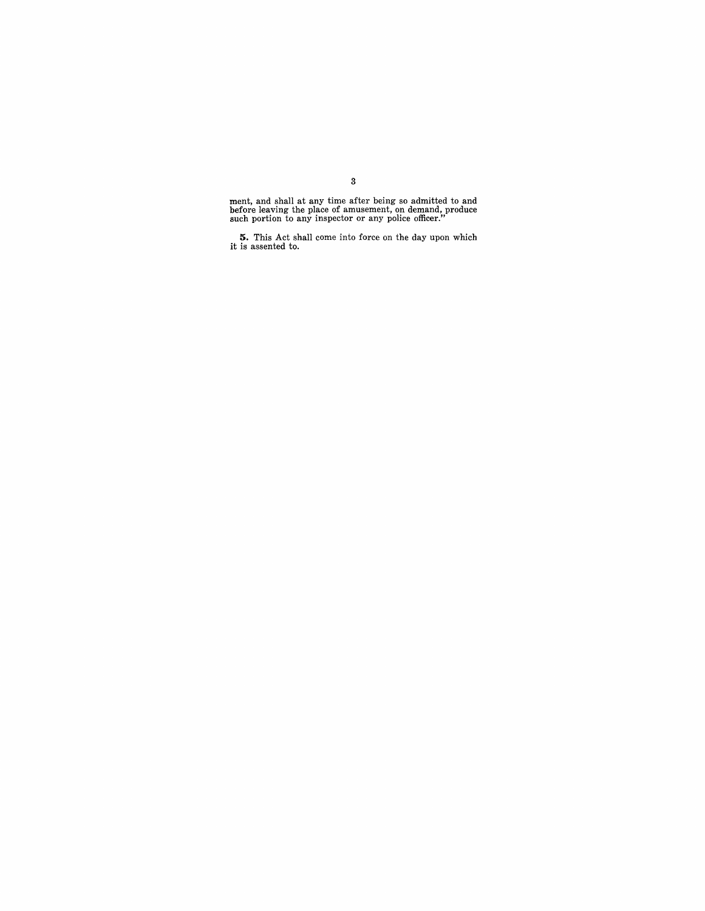ment, and shall at any time after being so admitted to and before leaving the place of amusement, on demand, produce such portion to any inspector or any police officer."

**5.** This Act shall come into force on the day upon which it is assented to.

## 3